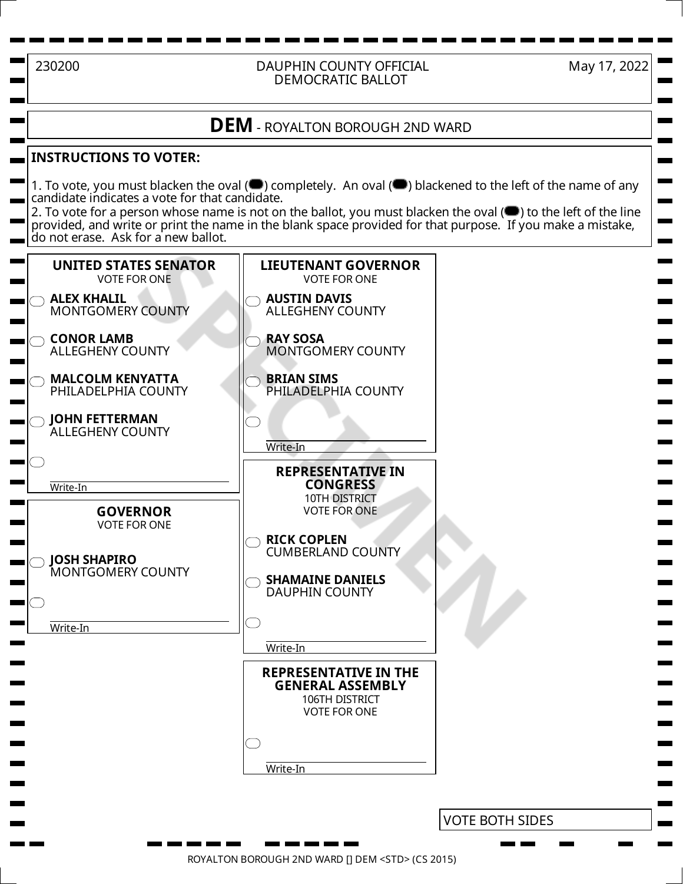## 230200 DAUPHIN COUNTY OFFICIAL DEMOCRATIC BALLOT

May 17, 2022

## **DEM** - ROYALTON BOROUGH 2ND WARD

## **INSTRUCTIONS TO VOTER:**

1. To vote, you must blacken the oval ( $\blacksquare$ ) completely. An oval ( $\blacksquare$ ) blackened to the left of the name of any candidate indicates a vote for that candidate.

2. To vote for a person whose name is not on the ballot, you must blacken the oval ( $\bullet$ ) to the left of the line provided, and write or print the name in the blank space provided for that purpose. If you make a mistake, do not erase. Ask for a new ballot.



VOTE BOTH SIDES